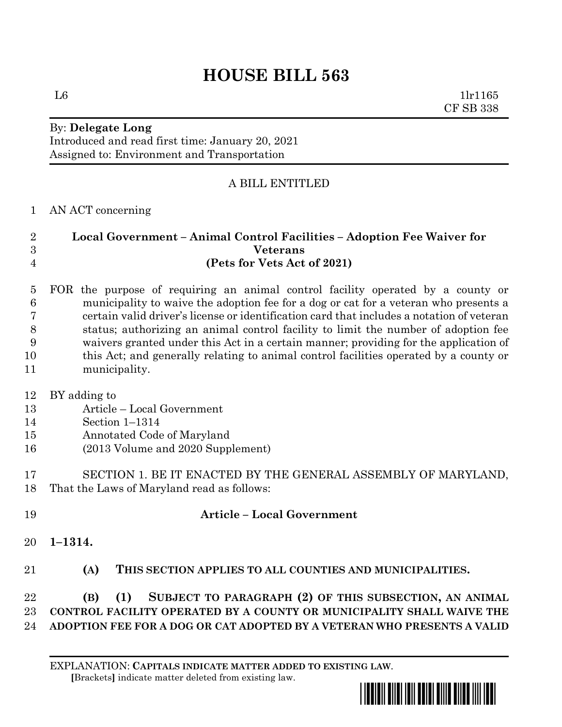# **HOUSE BILL 563**

 $L6$  1lr1165 CF SB 338

## By: **Delegate Long**

Introduced and read first time: January 20, 2021 Assigned to: Environment and Transportation

### A BILL ENTITLED

#### AN ACT concerning

#### **Local Government – Animal Control Facilities – Adoption Fee Waiver for Veterans (Pets for Vets Act of 2021)**

- FOR the purpose of requiring an animal control facility operated by a county or municipality to waive the adoption fee for a dog or cat for a veteran who presents a certain valid driver's license or identification card that includes a notation of veteran status; authorizing an animal control facility to limit the number of adoption fee waivers granted under this Act in a certain manner; providing for the application of this Act; and generally relating to animal control facilities operated by a county or municipality.
- BY adding to
- Article Local Government
- Section 1–1314
- Annotated Code of Maryland
- (2013 Volume and 2020 Supplement)

### SECTION 1. BE IT ENACTED BY THE GENERAL ASSEMBLY OF MARYLAND, That the Laws of Maryland read as follows:

- **Article – Local Government** 
	- **1–1314.**
	- **(A) THIS SECTION APPLIES TO ALL COUNTIES AND MUNICIPALITIES.**

## **(B) (1) SUBJECT TO PARAGRAPH (2) OF THIS SUBSECTION, AN ANIMAL CONTROL FACILITY OPERATED BY A COUNTY OR MUNICIPALITY SHALL WAIVE THE ADOPTION FEE FOR A DOG OR CAT ADOPTED BY A VETERAN WHO PRESENTS A VALID**